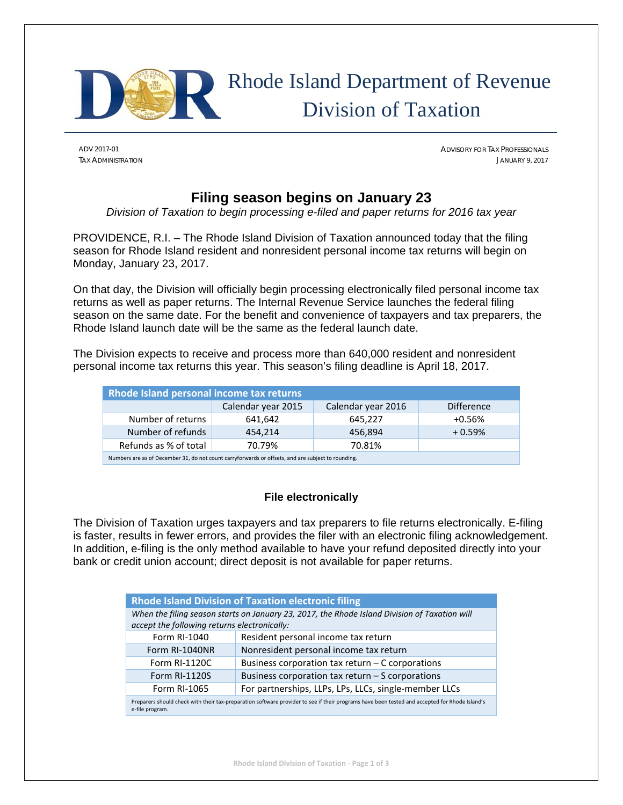

# Rhode Island Department of Revenue Division of Taxation

ADV 2017-01 ADVISORY FOR TAX PROFESSIONALS TAX ADMINISTRATION JANUARY 9, 2017

# **Filing season begins on January 23**

*Division of Taxation to begin processing e-filed and paper returns for 2016 tax year* 

PROVIDENCE, R.I. – The Rhode Island Division of Taxation announced today that the filing season for Rhode Island resident and nonresident personal income tax returns will begin on Monday, January 23, 2017.

On that day, the Division will officially begin processing electronically filed personal income tax returns as well as paper returns. The Internal Revenue Service launches the federal filing season on the same date. For the benefit and convenience of taxpayers and tax preparers, the Rhode Island launch date will be the same as the federal launch date.

The Division expects to receive and process more than 640,000 resident and nonresident personal income tax returns this year. This season's filing deadline is April 18, 2017.

| Rhode Island personal income tax returns                                                           |                    |                    |                   |  |  |
|----------------------------------------------------------------------------------------------------|--------------------|--------------------|-------------------|--|--|
|                                                                                                    | Calendar year 2015 | Calendar year 2016 | <b>Difference</b> |  |  |
| Number of returns                                                                                  | 641,642            | 645,227            | $+0.56%$          |  |  |
| Number of refunds                                                                                  | 454.214            | 456,894            | $+0.59%$          |  |  |
| Refunds as % of total                                                                              | 70.79%             | 70.81%             |                   |  |  |
| Numbers are as of December 31, do not count carryforwards or offsets, and are subject to rounding. |                    |                    |                   |  |  |

# **File electronically**

The Division of Taxation urges taxpayers and tax preparers to file returns electronically. E-filing is faster, results in fewer errors, and provides the filer with an electronic filing acknowledgement. In addition, e-filing is the only method available to have your refund deposited directly into your bank or credit union account; direct deposit is not available for paper returns.

| <b>Rhode Island Division of Taxation electronic filing</b>                                                                                                       |                                                       |  |  |  |
|------------------------------------------------------------------------------------------------------------------------------------------------------------------|-------------------------------------------------------|--|--|--|
| When the filing season starts on January 23, 2017, the Rhode Island Division of Taxation will<br>accept the following returns electronically:                    |                                                       |  |  |  |
| Form RI-1040                                                                                                                                                     | Resident personal income tax return                   |  |  |  |
| Form RI-1040NR                                                                                                                                                   | Nonresident personal income tax return                |  |  |  |
| Form RI-1120C                                                                                                                                                    | Business corporation tax return - C corporations      |  |  |  |
| <b>Form RI-1120S</b>                                                                                                                                             | Business corporation tax return - S corporations      |  |  |  |
| Form RI-1065                                                                                                                                                     | For partnerships, LLPs, LPs, LLCs, single-member LLCs |  |  |  |
| Preparers should check with their tax-preparation software provider to see if their programs have been tested and accepted for Rhode Island's<br>e-file program. |                                                       |  |  |  |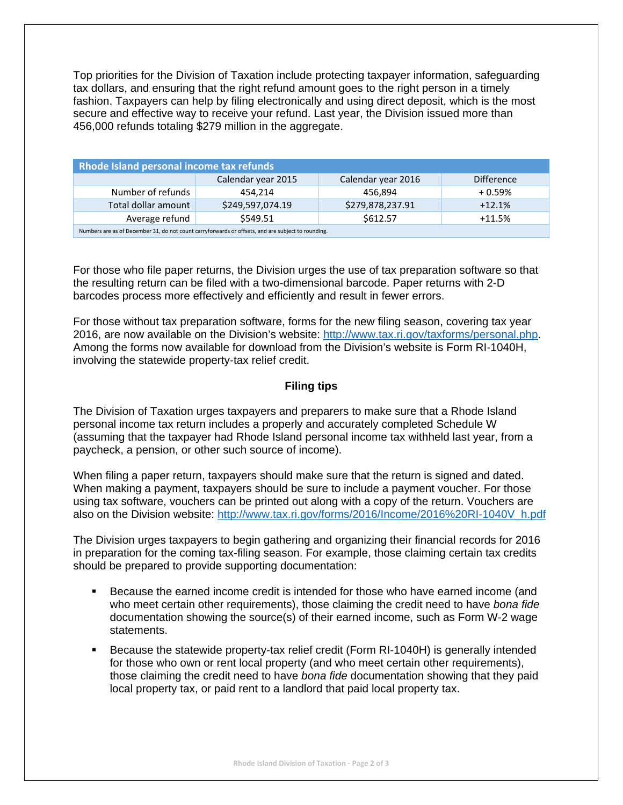Top priorities for the Division of Taxation include protecting taxpayer information, safeguarding tax dollars, and ensuring that the right refund amount goes to the right person in a timely fashion. Taxpayers can help by filing electronically and using direct deposit, which is the most secure and effective way to receive your refund. Last year, the Division issued more than 456,000 refunds totaling \$279 million in the aggregate.

| Rhode Island personal income tax refunds                                                           |                    |                    |                   |  |  |
|----------------------------------------------------------------------------------------------------|--------------------|--------------------|-------------------|--|--|
|                                                                                                    | Calendar year 2015 | Calendar year 2016 | <b>Difference</b> |  |  |
| Number of refunds                                                                                  | 454.214            | 456.894            | $+0.59%$          |  |  |
| Total dollar amount                                                                                | \$249,597,074.19   | \$279,878,237.91   | $+12.1%$          |  |  |
| Average refund                                                                                     | \$549.51           | \$612.57           | $+11.5%$          |  |  |
| Numbers are as of December 31, do not count carryforwards or offsets, and are subject to rounding. |                    |                    |                   |  |  |

For those who file paper returns, the Division urges the use of tax preparation software so that the resulting return can be filed with a two-dimensional barcode. Paper returns with 2-D barcodes process more effectively and efficiently and result in fewer errors.

For those without tax preparation software, forms for the new filing season, covering tax year 2016, are now available on the Division's website: http://www.tax.ri.gov/taxforms/personal.php. Among the forms now available for download from the Division's website is Form RI-1040H, involving the statewide property-tax relief credit.

#### **Filing tips**

The Division of Taxation urges taxpayers and preparers to make sure that a Rhode Island personal income tax return includes a properly and accurately completed Schedule W (assuming that the taxpayer had Rhode Island personal income tax withheld last year, from a paycheck, a pension, or other such source of income).

When filing a paper return, taxpayers should make sure that the return is signed and dated. When making a payment, taxpayers should be sure to include a payment voucher. For those using tax software, vouchers can be printed out along with a copy of the return. Vouchers are also on the Division website: http://www.tax.ri.gov/forms/2016/Income/2016%20RI-1040V\_h.pdf

The Division urges taxpayers to begin gathering and organizing their financial records for 2016 in preparation for the coming tax-filing season. For example, those claiming certain tax credits should be prepared to provide supporting documentation:

- Because the earned income credit is intended for those who have earned income (and who meet certain other requirements), those claiming the credit need to have *bona fide*  documentation showing the source(s) of their earned income, such as Form W-2 wage statements.
- Because the statewide property-tax relief credit (Form RI-1040H) is generally intended for those who own or rent local property (and who meet certain other requirements), those claiming the credit need to have *bona fide* documentation showing that they paid local property tax, or paid rent to a landlord that paid local property tax.